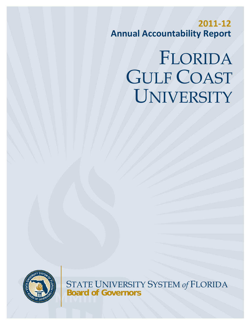**2011‐12 Annual Accountability Report**

# FLORIDA GULF COAST UNIVERSITY



STATE UNIVERSITY SYSTEM *of* FLORIDA **Board of Governors**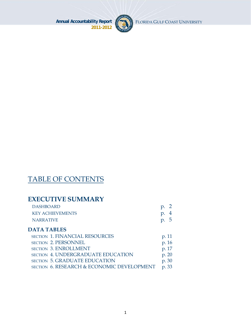

FLORIDA GULF COAST UNIVERSITY

# TABLE OF CONTENTS

# **EXECUTIVE SUMMARY**

| <b>DASHBOARD</b>        | $p. \, 2$        |
|-------------------------|------------------|
| <b>KEY ACHIEVEMENTS</b> | p.4              |
| NARRATIVE               | $\mathfrak{p}$ . |

## **DATA TABLES**

| <b>SECTION 1. FINANCIAL RESOURCES</b>      | p. 11 |
|--------------------------------------------|-------|
| SECTION 2. PERSONNEL                       | p. 16 |
| <b>SECTION 3. ENROLLMENT</b>               | p. 17 |
| <b>SECTION 4. UNDERGRADUATE EDUCATION</b>  | p. 20 |
| <b>SECTION 5. GRADUATE EDUCATION</b>       | p. 30 |
| SECTION 6. RESEARCH & ECONOMIC DEVELOPMENT | p. 33 |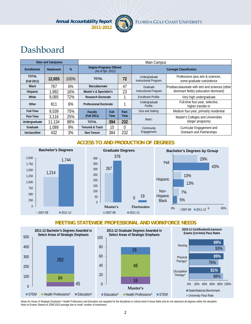

# Dashboard

|                             | <b>Sites and Campuses</b> |      |                                                     | Main Campus          |       |                                         |                                                                |  |  |
|-----------------------------|---------------------------|------|-----------------------------------------------------|----------------------|-------|-----------------------------------------|----------------------------------------------------------------|--|--|
| <b>Enrollments</b>          | Headcount                 | %    | <b>Degree Programs Offered</b><br>(As of Spr. 2012) |                      |       |                                         | <b>Carnegie Classification</b>                                 |  |  |
| <b>TOTAL</b><br>(Fall 2011) | 12,655                    | 100% | <b>TOTAL</b>                                        |                      | 72    | Undergraduate<br>Instructional Program: | Professions plus arts & sciences,<br>some graduate coexistence |  |  |
| <b>Black</b>                | 767                       | 6%   |                                                     | <b>Baccalaureate</b> |       | Graduate                                | Postbaccalaureate with arts and sciences (other                |  |  |
| Hispanic                    | 1,992                     | 16%  | Master's & Specialist's                             |                      | 23    | Instructional Program:                  | dominant fields) (education dominant)                          |  |  |
| White                       | 9,085                     | 72%  | <b>Research Doctorate</b>                           |                      |       | <b>Enrollment Profile:</b>              | Very high undergraduate                                        |  |  |
| Other                       | 811                       | 6%   | <b>Professional Doctorate</b>                       |                      |       | Undergraduate<br>Profile:               | Full-time four-year, selective,<br>higher transfer-in          |  |  |
| <b>Full-Time</b>            | 9,539                     | 75%  | Faculty                                             | Full-                | Part- | Size and Setting:                       | Medium four-year, primarily residential                        |  |  |
| Part-Time                   | 3,116                     | 25%  | (Fall 2011)                                         | Time                 | Time  | Basic:                                  | Master's Colleges and Universities                             |  |  |
| Undergraduate               | 11,134                    | 88%  | <b>TOTAL</b>                                        | 394                  | 232   |                                         | (larger programs)                                              |  |  |
| Graduate                    | 1,089                     | 9%   | <b>Tenured &amp; Track</b>                          | 10                   |       | Community                               | Curricular Engagement and                                      |  |  |
| Unclassified                | 432                       | 3%   | Non-Tenure                                          | 384                  | 232   | Engagement:                             | Outreach and Partnerships                                      |  |  |

#### **ACCESS TO AND PRODUCTION OF DEGREES**



#### **MEETING STATEWIDE PROFESSIONAL AND WORKFORCE NEEDS**



Notes for Areas of Strategic Emphasis:\* Health Professions and Education are targeted for the disciplines in critical need in those fields and do not represent all degrees within the discipline. Note on Exams: Based on 2008-2010 average due to small number of examinees.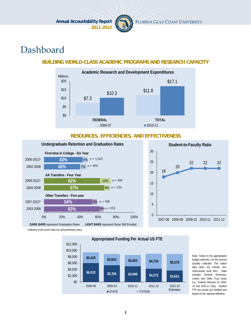

# Dashboard

#### **BUILDING WORLD-CLASS ACADEMIC PROGRAMS AND RESEARCH CAPACITY**



#### **RESOURCES, EFFICIENCIES, AND EFFECTIVENESS**



\* Indicates most recent data are still preliminary rates.



Note: Tuition is the appropriated budget authority, not the amount actually collected. This tuition data does not include noninstructional local fees. State includes General Revenues Lottery and Other Trust funds (i.e., Federal Stimulus for 2009- 10 and 2010-11 only). Student FTE are actual (not funded) and based on the national definition.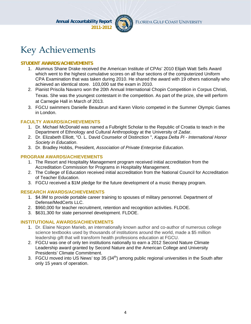

# Key Achievements

#### **STUDENT AWARDS/ACHIEVEMENTS**

- 1. Alumnus Shane Drake received the American Institute of CPAs' 2010 Elijah Watt Sells Award which went to the highest cumulative scores on all four sections of the computerized Uniform CPA Examination that was taken during 2010. He shared the award with 19 others nationally who achieved an identical store. 103,000 sat the exam in 2010.
- 2. Pianist Priscila Navarro won the 20th Annual International Chopin Competition in Corpus Christi, Texas. She was the youngest contestant in the competition. As part of the prize, she will perform at Carnegie Hall in March of 2013.
- 3. FGCU swimmers Danielle Beaubrun and Karen Vilorio competed in the Summer Olympic Games in London.

#### **FACULTY AWARDS/ACHIEVEMENTS**

- 1. Dr. Michael McDonald was named a Fulbright Scholar to the Republic of Croatia to teach in the Department of Ethnology and Cultural Anthropology at the University of Zadar.
- 2. Dr. Elizabeth Elliott, "O. L. David Counselor of Distinction ", *Kappa Delta Pi International Honor Society in Education*.
- 3. Dr. Bradley Hobbs, President, *Association of Private Enterprise Education*.

#### **PROGRAM AWARDS/ACHIEVEMENTS**

- 1. The Resort and Hospitality Management program received initial accreditation from the Accreditation Commission for Programs in Hospitality Management.
- 2. The College of Education received initial accreditation from the National Council for Accreditation of Teacher Education.
- 3. FGCU received a \$1M pledge for the future development of a music therapy program.

#### **RESEARCH AWARDS/ACHIEVEMENTS**

- 1. \$4.9M to provide portable career training to spouses of military personnel. Department of Defense/MedCerts LLC.
- 2. \$960,000 for teacher recruitment, retention and recognition activities. FLDOE.
- 3. \$631,300 for state personnel development. FLDOE.

#### **INSTITUTIONAL AWARDS/ACHIEVEMENTS**

- 1. Dr. Elaine Nicpon Marieb, an internationally known author and co-author of numerous college science textbooks used by thousands of institutions around the world, made a \$5 million leadership gift that will transform health professions education at FGCU.
- 2. FGCU was one of only ten institutions nationally to earn a 2012 Second Nature Climate Leadership award granted by Second Nature and the American College and University Presidents' Climate Commitment.
- 3. FGCU moved into US News' top 35  $(34<sup>th</sup>)$  among public regional universities in the South after only 15 years of operation.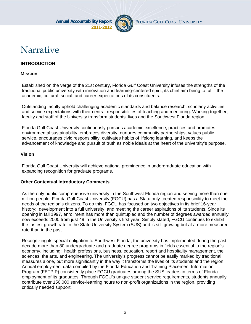

# Narrative

#### **INTRODUCTION**

#### **Mission**

Established on the verge of the 21st century, Florida Gulf Coast University infuses the strengths of the traditional public university with innovation and learning-centered spirit, its chief aim being to fulfill the academic, cultural, social, and career expectations of its constituents.

Outstanding faculty uphold challenging academic standards and balance research, scholarly activities, and service expectations with their central responsibilities of teaching and mentoring. Working together, faculty and staff of the University transform students' lives and the Southwest Florida region.

Florida Gulf Coast University continuously pursues academic excellence, practices and promotes environmental sustainability, embraces diversity, nurtures community partnerships, values public service, encourages civic responsibility, cultivates habits of lifelong learning, and keeps the advancement of knowledge and pursuit of truth as noble ideals at the heart of the university's purpose.

#### **Vision**

Florida Gulf Coast University will achieve national prominence in undergraduate education with expanding recognition for graduate programs.

#### **Other Contextual Introductory Comments**

As the only public comprehensive university in the Southwest Florida region and serving more than one million people, Florida Gulf Coast University (FGCU) has a Statutorily-created responsibility to meet the needs of the region's citizens. To do this, FGCU has focused on two objectives in its brief 16-year history: development into a full university, and meeting the career aspirations of its students. Since its opening in fall 1997, enrollment has more than quintupled and the number of degrees awarded annually now exceeds 2000 from just 49 in the University's first year. Simply stated, FGCU continues to exhibit the fastest growth rate in the State University System (SUS) and is still growing but at a more measured rate than in the past.

Recognizing its special obligation to Southwest Florida, the university has implemented during the past decade more than 80 undergraduate and graduate degree programs in fields essential to the region's economy, including: health professions, business, education, resort and hospitality management, the sciences, the arts, and engineering. The university's progress cannot be easily marked by traditional measures alone, but more significantly in the way it transforms the lives of its students and the region. Annual employment data compiled by the Florida Education and Training Placement Information Program (FETPIP) consistently place FGCU graduates among the SUS leaders in terms of Florida employment of its graduates. Through FGCU's unique student service requirements, students annually contribute over 150,000 service-learning hours to non-profit organizations in the region, providing critically needed support.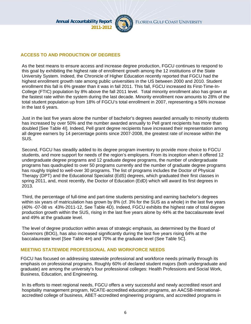

#### **ACCESS TO AND PRODUCTION OF DEGREES**

As the best means to ensure access and increase degree production, FGCU continues to respond to this goal by exhibiting the highest rate of enrollment growth among the 12 institutions of the State University System. Indeed, the Chronicle of Higher Education recently reported that FGCU had the highest enrollment growth rate among public universities in the US between 2000 and 2010. Student enrollment this fall is 6% greater than it was in fall 2011. This fall, FGCU increased its First-Time-In-College (FTIC) population by 8% above the fall 2011 level. Total minority enrollment also has grown at the fastest rate within the system during the last decade. Minority enrollment now amounts to 28% of the total student population up from 18% of FGCU's total enrollment in 2007, representing a 56% increase in the last 6 years.

Just in the last five years alone the number of bachelor's degrees awarded annually to minority students has increased by over 50% and the number awarded annually to Pell grant recipients has more than doubled [See Table 4I]. Indeed, Pell grant degree recipients have increased their representation among all degree earners by 14 percentage points since 2007-2008, the greatest rate of increase within the SUS.

Second, FGCU has steadily added to its degree program inventory to provide more choice to FGCU students, and more support for needs of the region's employers. From its inception when it offered 12 undergraduate degree programs and 12 graduate degree programs, the number of undergraduate programs has quadrupled to over 50 programs currently and the number of graduate degree programs has roughly tripled to well-over 30 programs. The list of programs includes the Doctor of Physical Therapy (DPT) and the Educational Specialist (EdS) degrees, which graduated their first classes in spring 2011, and, most recently, the Doctor of Education (EdD) which will award its first degrees in 2013.

Third, the percentage of full-time and part-time students persisting and earning bachelor's degrees within six years of matriculation has grown by 8% (cf. 3% for the SUS as a whole) in the last five years (40% -07-08 vs 43%-2011-12, See Table 4D). Indeed, FGCU exhibits the highest rate of total degree production growth within the SUS, rising in the last five years alone by 44% at the baccalaureate level and 49% at the graduate level.

The level of degree production within areas of strategic emphasis, as determined by the Board of Governors (BOG), has also increased significantly during the last five years rising 64% at the baccalaureate level [See Table 4H) and 70% at the graduate level (See Table 5C].

#### **MEETING STATEWIDE PROFESSIONAL AND WORKFORCE NEEDS**

FGCU has focused on addressing statewide professional and workforce needs primarily through its emphasis on professional programs. Roughly 60% of declared student majors (both undergraduate and graduate) are among the university's four professional colleges: Health Professions and Social Work, Business, Education, and Engineering.

In its efforts to meet regional needs, FGCU offers a very successful and newly accredited resort and hospitality management program, NCATE-accredited education programs, an AACSB-Internationalaccredited college of business, ABET-accredited engineering programs, and accredited programs in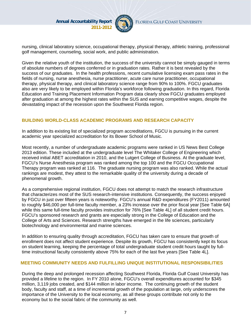

nursing, clinical laboratory science, occupational therapy, physical therapy, athletic training, professional golf management, counseling, social work, and public administration.

Given the relative youth of the institution, the success of the university cannot be simply gauged in terms of absolute numbers of degrees conferred or in graduation rates. Rather it is best revealed by the success of our graduates. In the health professions, recent cumulative licensing exam pass rates in the fields of nursing, nurse anesthesia, nurse practitioner, acute care nurse practitioner, occupational therapy, physical therapy, and clinical laboratory science range from 90% to 100%. FGCU graduates also are very likely to be employed within Florida's workforce following graduation. In this regard, Florida Education and Training Placement Information Program data clearly show FGCU graduates employed after graduation at among the highest rates within the SUS and earning competitive wages, despite the devastating impact of the recession upon the Southwest Florida region.

#### **BUILDING WORLD-CLASS ACADEMIC PROGRAMS AND RESEARCH CAPACITY**

In addition to its existing list of specialized program accreditations, FGCU is pursuing in the current academic year specialized accreditation for its Bower School of Music.

Most recently, a number of undergraduate academic programs were ranked in US News Best College 2013 edition. These included at the undergraduate level The Whitaker College of Engineering which received initial ABET accreditation in 2010, and the Lutgert College of Business. At the graduate level, FGCU's Nurse Anesthesia program was ranked among the top 100 and the FGCU Occupational Therapy program was ranked at 116. The graduate nursing program was also ranked. While the actual rankings are modest, they attest to the remarkable quality of the university during a decade of phenomenal growth.

As a comprehensive regional institution, FGCU does not attempt to match the research infrastructure that characterizes most of the SUS research-intensive institutions. Consequently, the success enjoyed by FGCU in just over fifteen years is noteworthy. FGCU's annual R&D expenditures (FY2011) amounted to roughly \$46,000 per full-time faculty member, a 23% increase over the prior fiscal year [See Table 6A] while this same full-time faculty provides instruction for 76% [See Table 4L] of all student credit hours. FGCU's sponsored research and grants are especially strong in the College of Education and the College of Arts and Sciences. Research strengths have emerged in the life sciences, particularly biotechnology and environmental and marine sciences.

In addition to ensuring quality through accreditation, FGCU has taken care to ensure that growth of enrollment does not affect student experience. Despite its growth, FGCU has consistently kept its focus on student learning, keeping the percentage of total undergraduate student credit hours taught by fulltime instructional faculty consistently above 75% for each of the last five years [See Table 4L].

#### **MEETING COMMUNITY NEEDS AND FULFILLING UNIQUE INSTITUTIONAL RESPONSIBILITIES**

During the deep and prolonged recession affecting Southwest Florida, Florida Gulf Coast University has provided a lifeline to the region. In FY 2010 alone, FGCU's overall expenditures accounted for \$345 million, 3,119 jobs created, and \$144 million in labor income. The continuing growth of the student body, faculty and staff, at a time of incremental growth of the population at large, only underscores the importance of the University to the local economy, as all these groups contribute not only to the economy but to the social fabric of the community as well.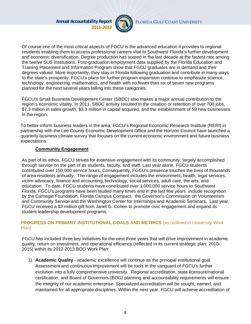

Of course one of the most critical aspects of FGCU is the advanced education it provides to regional residents enabling them to access professional careers vital to Southwest Florida's further development and economic diversification. Degree production has soared in the last decade at the fastest rate among the twelve SUS institutions. Post-graduation employment data supplied by the Florida Education and Training Placement and Information Program show that FGCU graduates are in demand and their degrees valued. More importantly, they stay in Florida following graduation and contribute in many ways to the state's prosperity. FGCU's plans for further program expansion continue to emphasize science, technology, engineering, mathematics, and health with no fewer than six of seven new programs planned for the next several years falling into these categories.

FGCU's Small Business Development Center (SBDC) also makes a major annual contribution to the region's economic vitality. In 2011, SBDC activity resulted in the creation or retention of over 700 jobs, \$7.3 million in sales growth, \$3.3 million in capital acquired, and the establishment of 59 new businesses in the region.

To better inform business leaders in the area, FGCU's Regional Economic Research Institute (RERI) in partnership with the Lee County Economic Development Office and the Horizon Council have launched a quarterly business climate survey that focuses on the current economic environment and future business expectations.

#### **Community Engagement**

As part of its ethos, FGCU strives for extensive engagement with its community, largely accomplished through service on the part of its students, faculty, and staff. Last year alone, FGCU students contributed over 150,000 service hours. Consequently, FGCU's presence touches the lives of thousands of area residents annually. The range of engagement includes the environment, health, legal services, victim advocacy, finance and accounting, technology, social services, adult care, the arts, and education. To date, FGCU students have contributed over 1,000,000 service hours to Southwest Florida. FGCU's programs have been lauded many times and in the last few years include recognition by the Carnegie Foundation, Florida Campus Compact, the Governor's Commission on Volunteerism and Community Service and the Washington Center for Internships and Academic Seminars. Last year, FGCU received a \$3 million gift from Janet G. Cohen to promote civic engagement and expand its student leadership development programs.

#### **PROGRESS ON PRIMARY INSTITUTIONAL GOALS AND METRICS** *(as outlined in University Work Plan)*

FGCU has included three key initiatives for the next three years that will drive improvement in academic quality, return on investment, and operational efficiency (reflected in its current strategic plan: 2010- 2015) within its 2012-2013 BOG Work Plan:

1) **Academic Quality** - academic excellence will continue as the principal institutional goal. Assessment and continuous improvement will be tools in the vanguard of FGCU's further evolution into a fully comprehensive university. Regional accreditation, state licensure/national certification, and Board of Governors (BOG) planning and accountability requirements will ensure the integrity of our academic enterprise. Specialized accreditation will be sought, earned, and maintained for all appropriate disciplines. Within the next year, FGCU will achieve accreditation of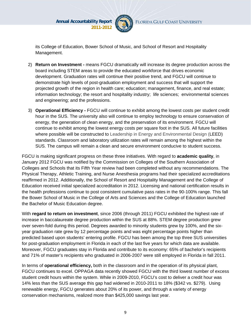

its College of Education, Bower School of Music, and School of Resort and Hospitality Management.

- 2) **Return on Investment -** means FGCU dramatically will increase its degree production across the board including STEM areas to provide the educated workforce that drives economic development. Graduation rates will continue their positive trend, and FGCU will continue to demonstrate high levels of post-graduation employment and success that will support the projected growth of the region in health care; education; management, finance, and real estate; information technology; the resort and hospitality industry; life sciences; environmental sciences and engineering; and the professions.
- 3) **Operational Efficiency** FGCU will continue to exhibit among the lowest costs per student credit hour in the SUS. The university also will continue to employ technology to ensure conservation of energy, the generation of clean energy, and the preservation of its environment. FGCU will continue to exhibit among the lowest energy costs per square foot in the SUS. All future facilities where possible will be constructed to Leadership in Energy and Environmental Design (LEED) standards. Classroom and laboratory utilization rates will remain among the highest within the SUS. The campus will remain a clean and secure environment conducive to student success.

FGCU is making significant progress on these three initiatives. With regard to **academic quality**, in January 2012 FGCU was notified by the Commission on Colleges of the Southern Association of Colleges and Schools that its Fifth Year review had been completed without any recommendations. The Physical Therapy, Athletic Training, and Nurse Anesthesia programs had their specialized accreditations reaffirmed in 2012. Additionally, the School of Resort and Hospitality Management and the College of Education received initial specialized accreditation in 2012. Licensing and national certification results in the health professions continue to post consistent cumulative pass rates in the 90-100% range. This fall the Bower School of Music in the College of Arts and Sciences and the College of Education launched the Bachelor of Music Education degree.

With **regard to return on investment**, since 2006 (through 2011) FGCU exhibited the highest rate of increase in baccalaureate degree production within the SUS at 88%. STEM degree production grew over seven-fold during this period. Degrees awarded to minority students grew by 100%, and the sixyear graduation rate grew by 12 percentage points and was eight percentage points higher than predicted based upon students' entering profile. FGCU has been among the top three SUS universities for post-graduation employment in Florida in each of the last five years for which data are available. Moreover, FGCU graduates stay in Florida and contribute to its economy: 65% of bachelor's recipients and 71% of master's recipients who graduated in 2006-2007 were still employed in Florida in fall 2011.

In terms of **operational efficiency,** both in the classroom and in the operation of its physical plant, FGCU continues to excel. OPPAGA data recently showed FGCU with the third lowest number of excess student credit hours within the system. While in 2009-2010, FGCU's cost to deliver a credit hour was 14% less than the SUS average this gap had widened in 2010-2011 to 18% (\$342 vs. \$279). Using renewable energy, FGCU generates about 20% of its power, and through a variety of energy conservation mechanisms, realized more than \$425,000 savings last year.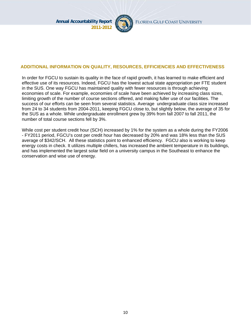

#### **ADDITIONAL INFORMATION ON QUALITY, RESOURCES, EFFICIENCIES AND EFFECTIVENESS**

In order for FGCU to sustain its quality in the face of rapid growth, it has learned to make efficient and effective use of its resources. Indeed, FGCU has the lowest actual state appropriation per FTE student in the SUS. One way FGCU has maintained quality with fewer resources is through achieving economies of scale. For example, economies of scale have been achieved by increasing class sizes, limiting growth of the number of course sections offered, and making fuller use of our facilities. The success of our efforts can be seen from several statistics. Average undergraduate class size increased from 24 to 34 students from 2004-2011, keeping FGCU close to, but slightly below, the average of 35 for the SUS as a whole. While undergraduate enrollment grew by 39% from fall 2007 to fall 2011, the number of total course sections fell by 3%.

While cost per student credit hour (SCH) increased by 1% for the system as a whole during the FY2006 - FY2011 period, FGCU's cost per credit hour has decreased by 20% and was 18% less than the SUS average of \$342/SCH. All these statistics point to enhanced efficiency. FGCU also is working to keep energy costs in check. It utilizes multiple chillers, has increased the ambient temperature in its buildings, and has implemented the largest solar field on a university campus in the Southeast to enhance the conservation and wise use of energy.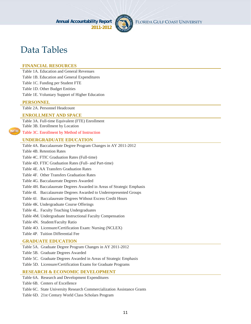

# Data Tables

#### **FINANCIAL RESOURCES**

Table 1A. Education and General Revenues

Table 1B. Education and General Expenditures

Table 1C. Funding per Student FTE

Table 1D. Other Budget Entities

Table 1E. Voluntary Support of Higher Education

#### **PERSONNEL**

Table 2A. Personnel Headcount

#### **ENROLLMENT AND SPACE**

Table 3A. Full-time Equivalent (FTE) Enrollment Table 3B. Enrollment by Location

#### Table 3C. Enrollment by Method of Instruction

#### **UNDERGRADUATE EDUCATION**

Table 4A. Baccalaureate Degree Program Changes in AY 2011-2012

Table 4B. Retention Rates

Table 4C. FTIC Graduation Rates (Full-time)

Table 4D. FTIC Graduation Rates (Full- and Part-time)

Table 4E. AA Transfers Graduation Rates

Table 4F. Other Transfers Graduation Rates

Table 4G. Baccalaureate Degrees Awarded

Table 4H. Baccalaureate Degrees Awarded in Areas of Strategic Emphasis

Table 4I. Baccalaureate Degrees Awarded to Underrepresented Groups

Table 4J. Baccalaureate Degrees Without Excess Credit Hours

Table 4K. Undergraduate Course Offerings

Table 4L. Faculty Teaching Undergraduates

Table 4M. Undergraduate Instructional Faculty Compensation

Table 4N. Student/Faculty Ratio

Table 4O. Licensure/Certification Exam: Nursing (NCLEX)

Table 4P. Tuition Differential Fee

#### **GRADUATE EDUCATION**

Table 5A. Graduate Degree Program Changes in AY 2011-2012

Table 5B. Graduate Degrees Awarded

Table 5C. Graduate Degrees Awarded in Areas of Strategic Emphasis

Table 5D. Licensure/Certification Exams for Graduate Programs

#### **RESEARCH & ECONOMIC DEVELOPMENT**

Table 6A. Research and Development Expenditures

Table 6B. Centers of Excellence

Table 6C. State University Research Commercialization Assistance Grants

Table 6D. 21st Century World Class Scholars Program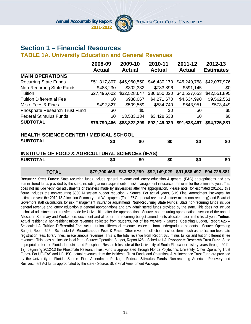

# **Section 1 – Financial Resources**

#### **TABLE 1A. University Education and General Revenues**

|                                                             | 2008-09       | 2009-10       | 2010-11       | 2011-12       | 2012-13          |  |  |  |
|-------------------------------------------------------------|---------------|---------------|---------------|---------------|------------------|--|--|--|
|                                                             | <b>Actual</b> | <b>Actual</b> | <b>Actual</b> | <b>Actual</b> | <b>Estimates</b> |  |  |  |
| <b>MAIN OPERATIONS</b>                                      |               |               |               |               |                  |  |  |  |
| <b>Recurring State Funds</b>                                | \$51,317,807  | \$45,960,550  | \$46,430,170  | \$45,240,758  | \$42,037,976     |  |  |  |
| <b>Non-Recurring State Funds</b>                            | \$483,230     | \$302,332     | \$783,896     | \$591,145     | \$0              |  |  |  |
| Tuition                                                     | \$27,496,602  | \$32,528,647  | \$36,650,020  | \$40,527,653  | \$42,551,895     |  |  |  |
| <b>Tuition Differential Fee</b>                             | \$0           | \$938,067     | \$4,271,670   | \$4,634,990   | \$9,562,561      |  |  |  |
| Misc. Fees & Fines                                          | \$492,827     | \$509,569     | \$584,740     | \$643,951     | \$573,449        |  |  |  |
| Phosphate Research Trust Fund                               | \$0           | \$0           | \$0           | \$0           | \$0              |  |  |  |
| <b>Federal Stimulus Funds</b>                               | \$0           | \$3,583,134   | \$3,428,533   | \$0           | \$0              |  |  |  |
| <b>SUBTOTAL</b>                                             | \$79,790,466  | \$83,822,299  | \$92,149,029  | \$91,638,497  | \$94,725,881     |  |  |  |
| <b>HEALTH SCIENCE CENTER / MEDICAL SCHOOL</b>               |               |               |               |               |                  |  |  |  |
| <b>SUBTOTAL</b>                                             | \$0           | \$0           | \$0           | \$0           | \$0              |  |  |  |
| <b>INSTITUTE OF FOOD &amp; AGRICULTURAL SCIENCES (IFAS)</b> |               |               |               |               |                  |  |  |  |
| <b>SUBTOTAL</b>                                             | \$0           | \$0           | \$0           | \$0           | \$0              |  |  |  |
|                                                             |               |               |               |               |                  |  |  |  |

**Recurring State Funds:** State recurring funds include general revenue and lottery education & general (E&G) appropriations and any administered funds provided by the state, including annual adjustments of risk management insurance premiums for the estimated year. This does not include technical adjustments or transfers made by universities after the appropriation. Please note: for estimated 2012-13 this figure includes the non-recurring \$300 M system budget reduction. - Source: For actual years, SUS Final Amendment Packages; for estimated year the 2012-13 Allocation Summary and Workpapers (Total E&G general revenue & lottery minus non-recurring) and Board of Governors staff calculations for risk management insurance adjustments. **Non-Recurring State Funds:** State non-recurring funds include general revenue and lottery education & general appropriations and any administered funds provided by the state. This does not include technical adjustments or transfers made by Universities after the appropriation - Source: non-recurring appropriations section of the annual Allocation Summary and Workpapers document and all other non-recurring budget amendments allocated later in the fiscal year. **Tuition**: Actual resident & non-resident tuition revenues collected from students, net of fee waivers. - Source: Operating Budget, Report 625 – Schedule I-A. **Tuition Differential Fee**: Actual tuition differential revenues collected from undergraduate students - Source: Operating Budget, Report 625 – Schedule I-A. **Miscellaneous Fees & Fines**: Other revenue collections include items such as application fees, late registration fees, library fines, miscellaneous revenues. This is the total revenue from Report 625 minus tuition and tuition differential fee revenues. This does not include local fees - Source: Operating Budget, Report 625 – Schedule I-A. **Phosphate Research Trust Fund**: State appropriation for the Florida Industrial and Phosphate Research Institute at the University of South Florida (for history years through 2011- 12); beginning 2012-13 the Phosphate Research Trust Fund is appropriated through Florida Polytechnic University. Other Operating Trust Funds- For UF-IFAS and UF-HSC, actual revenues from the Incidental Trust Funds and Operations & Maintenance Trust Fund are provided by the University of Florida. Source: Final Amendment Package. **Federal Stimulus Funds**: Non-recurring American Recovery and Reinvestment Act funds appropriated by the state - Source: SUS Final Amendment Package.

**TOTAL \$79,790,466 \$83,822,299 \$92,149,029 \$91,638,497 \$94,725,881**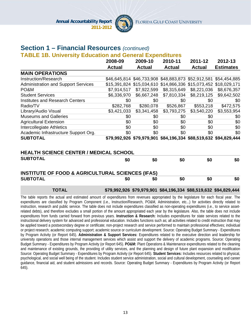

## **Section 1 – Financial Resources** *(continued)*

**TABLE 1B. University Education and General Expenditures** 

|                                            | 2008-09       | 2009-10                                                          | 2010-11       | 2011-12                                | 2012-13          |
|--------------------------------------------|---------------|------------------------------------------------------------------|---------------|----------------------------------------|------------------|
|                                            | <b>Actual</b> | <b>Actual</b>                                                    | <b>Actual</b> | <b>Actual</b>                          | <b>Estimates</b> |
| <b>MAIN OPERATIONS</b>                     |               |                                                                  |               |                                        |                  |
| Instruction/Research                       |               | \$46,645,814 \$46,733,908 \$48,883,873 \$52,912,581 \$54,454,885 |               |                                        |                  |
| <b>Administration and Support Services</b> |               | \$15,391,824 \$15,034,610 \$14,866,336 \$15,073,452 \$18,029,171 |               |                                        |                  |
| PO&M                                       | \$7,914,517   | \$7,922,599                                                      | \$8,315,649   | \$8,221,036                            | \$8,676,357      |
| <b>Student Services</b>                    | \$6,336,970   | \$6,667,248                                                      | \$7,810,334   | \$8,219,125                            | \$9,642,502      |
| <b>Institutes and Research Centers</b>     | \$0           | \$0                                                              | \$0           | \$0                                    | \$0              |
| Radio/TV                                   | \$282,768     | \$280,078                                                        | \$526,867     | \$553,218                              | \$472,575        |
| Library/Audio Visual                       | \$3,421,033   | \$3,341,458                                                      | \$3,793,275   | \$3,540,220                            | \$3,553,954      |
| <b>Museums and Galleries</b>               | \$0           | \$0                                                              | \$0           | \$0                                    | \$0              |
| <b>Agricultural Extension</b>              | \$0           | \$0                                                              | \$0           | \$0                                    | \$0              |
| Intercollegiate Athletics                  | \$0           | \$0                                                              | \$0           | \$0                                    | \$0              |
| Academic Infrastructure Support Org.       | \$0           | \$0                                                              | \$0           | \$0                                    | \$0              |
| <b>SUBTOTAL</b>                            |               | \$79,992,926 \$79,979,901                                        |               | \$84,196,334 \$88,519,632 \$94,829,444 |                  |

#### **HEALTH SCIENCE CENTER / MEDICAL SCHOOL**

| <b>SUBTOTAL</b>                                             | \$0 | \$0 | \$0 | \$0 | \$0 |
|-------------------------------------------------------------|-----|-----|-----|-----|-----|
| <b>INSTITUTE OF FOOD &amp; AGRICULTURAL SCIENCES (IFAS)</b> |     |     |     |     |     |
| <b>SUBTOTAL</b>                                             | \$0 | \$0 | \$0 | \$0 | \$0 |

#### **TOTAL \$79,992,926 \$79,979,901 \$84,196,334 \$88,519,632 \$94,829,444**

The table reports the actual and estimated amount of expenditures from revenues appropriated by the legislature for each fiscal year. The expenditures are classified by Program Component (i.e., Instruction/Research, PO&M, Administration, etc...) for activities directly related to instruction, research and public service. The table does not include expenditures classified as non-operating expenditures (i.e., to service assetrelated debts), and therefore excludes a small portion of the amount appropriated each year by the legislature. Also, the table does not include expenditures from funds carried forward from previous years. **Instruction & Research:** Includes expenditures for state services related to the instructional delivery system for advanced and professional education. Includes functions such as; all activities related to credit instruction that may be applied toward a postsecondary degree or certificate; non-project research and service performed to maintain professional effectives; individual or project research; academic computing support; academic source or curriculum development. Source: Operating Budget Summary - Expenditures by Program Activity (or Report 645). **Administration & Support Services:** Expenditures related to the executive direction and leadership for university operations and those internal management services which assist and support the delivery of academic programs. Source: Operating Budget Summary - Expenditures by Program Activity (or Report 645). **PO&M:** Plant Operations & Maintenance expenditures related to the cleaning and maintenance of existing grounds, the providing of utility services, and the planning and design of future plant expansion and modification Source: Operating Budget Summary - Expenditures by Program Activity (or Report 645). **Student Services:** Includes resources related to physical, psychological, and social well being of the student. Includes student service administration, social and cultural development, counseling and career guidance, financial aid, and student admissions and records. Source: Operating Budget Summary - Expenditures by Program Activity (or Report 645).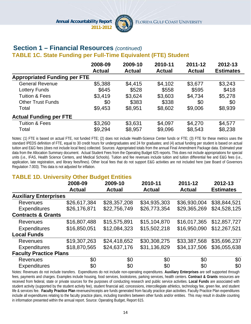

#### **Section 1 – Financial Resources** *(continued)*  **TABLE 1C. State Funding per Full-Time Equivalent (FTE) Student**

|                                     | 2008-09       | 2009-10       | 2010-11       | 2011-12       | 2012-13          |
|-------------------------------------|---------------|---------------|---------------|---------------|------------------|
|                                     | <b>Actual</b> | <b>Actual</b> | <b>Actual</b> | <b>Actual</b> | <b>Estimates</b> |
| <b>Appropriated Funding per FTE</b> |               |               |               |               |                  |
| <b>General Revenue</b>              | \$5,388       | \$4,415       | \$4,102       | \$3,677       | \$3,243          |
| Lottery Funds                       | \$645         | \$528         | \$558         | \$595         | \$418            |
| <b>Tuition &amp; Fees</b>           | \$3,419       | \$3,624       | \$3,603       | \$4,734       | \$5,278          |
| <b>Other Trust Funds</b>            | \$0           | \$383         | \$338         | \$0           | \$0              |
| Total                               | \$9,453       | \$8,951       | \$8,602       | \$9,006       | \$8,939          |
| <b>Actual Funding per FTE</b>       |               |               |               |               |                  |
| <b>Tuition &amp; Fees</b>           | \$3,260       | \$3,631       | \$4,097       | \$4,270       | \$4,577          |
| Total                               | \$9,294       | \$8,957       | \$9,096       | \$8,543       | \$8,238          |

Notes: (1) FTE is based on actual FTE, not funded FTE; (2) does not include Health-Science Center funds or FTE; (3) FTE for these metrics uses the standard IPEDS definition of FTE, equal to 30 credit hours for undergraduates and 24 for graduates; and (4) actual funding per student is based on actual tuition and E&G fees (does not include local fees) collected. Sources: Appropriated totals from the annual Final Amendment Package data. Estimated year data from the Allocation Summary document. Actual Student Fees from the Operating Budget 625 reports. This does not include appropriations for special units (i.e., IFAS, Health Science Centers, and Medical Schools). Tuition and fee revenues include tuition and tuition differential fee and E&G fees (i.e., application, late registration, and library fees/fines). Other local fees that do not support E&G activities are not included here (see Board of Governors Regulation 7.003). This data is not adjusted for inflation.

#### **TABLE 1D. University Other Budget Entities**

|                               | 2008-09       | 2009-10       | 2010-11       | 2011-12       | 2012-13          |
|-------------------------------|---------------|---------------|---------------|---------------|------------------|
|                               | <b>Actual</b> | <b>Actual</b> | <b>Actual</b> | <b>Actual</b> | <b>Estimates</b> |
| <b>Auxiliary Enterprises</b>  |               |               |               |               |                  |
| <b>Revenues</b>               | \$26,617,384  | \$28,357,208  | \$34,935,303  | \$36,930,004  | \$38,844,521     |
| <b>Expenditures</b>           | \$26,176,871  | \$22,756,749  | \$26,773,354  | \$29,365,269  | \$24,528,125     |
| <b>Contracts &amp; Grants</b> |               |               |               |               |                  |
| <b>Revenues</b>               | \$16,807,488  | \$15,575,891  | \$15,104,870  | \$16,017,365  | \$12,857,727     |
| <b>Expenditures</b>           | \$16,850,051  | \$12,084,323  | \$15,502,218  | \$16,950,090  | \$12,267,521     |
| <b>Local Funds</b>            |               |               |               |               |                  |
| <b>Revenues</b>               | \$19,307,263  | \$24,418,652  | \$30,308,275  | \$33,387,568  | \$35,696,237     |
| <b>Expenditures</b>           | \$18,870,565  | \$24,637,176  | \$31,136,829  | \$34,137,506  | \$36,055,638     |
| <b>Faculty Practice Plans</b> |               |               |               |               |                  |
| <b>Revenues</b>               | \$0           | \$0           | \$0           | \$0           | \$0              |
| <b>Expenditures</b>           | \$0           | \$0           | \$0           | \$0           | \$0              |

Notes: Revenues do not include transfers. Expenditures do not include non-operating expenditures. **Auxiliary Enterprises** are self supported through fees, payments and charges. Examples include housing, food services, bookstores, parking services, health centers. **Contract & Grants** resources are received from federal, state or private sources for the purposes of conducting research and public service activities. **Local Funds** are associated with student activity (supported by the student activity fee), student financial aid, concessions, intercollegiate athletics, technology fee, green fee, and student life & services fee. **Faculty Practice Plan** revenues/receipts are funds generated from faculty practice plan activities. Faculty Practice Plan expenditures include all expenditures relating to the faculty practice plans, including transfers between other funds and/or entities. This may result in double counting in information presented within the annual report. Source: Operating Budget, Report 615.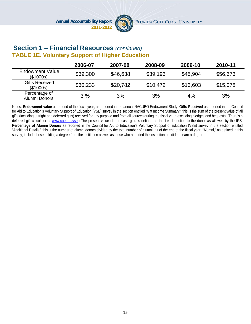

## **Section 1 – Financial Resources** *(continued)* **TABLE 1E. Voluntary Support of Higher Education**

|                                     | 2006-07  | 2007-08  | 2008-09  | 2009-10  | 2010-11  |
|-------------------------------------|----------|----------|----------|----------|----------|
| <b>Endowment Value</b><br>(\$1000s) | \$39,300 | \$46,638 | \$39,193 | \$45,904 | \$56,673 |
| <b>Gifts Received</b><br>(\$1000s)  | \$30,233 | \$20,782 | \$10,472 | \$13,603 | \$15,078 |
| Percentage of<br>Alumni Donors      | 3%       | 3%       | 3%       | 4%       | 3%       |

Notes: **Endowment value** at the end of the fiscal year, as reported in the annual NACUBO Endowment Study. **Gifts Received** as reported in the Council for Aid to Education's Voluntary Support of Education (VSE) survey in the section entitled "Gift Income Summary," this is the sum of the present value of all gifts (including outright and deferred gifts) received for any purpose and from all sources during the fiscal year, excluding pledges and bequests. (There's a deferred gift calculator at www.cae.org/vse.) The present value of non-cash gifts is defined as the tax deduction to the donor as allowed by the IRS. **Percentage of Alumni Donors** as reported in the Council for Aid to Education's Voluntary Support of Education (VSE) survey in the section entitled "Additional Details," this is the number of alumni donors divided by the total number of alumni, as of the end of the fiscal year. "Alumni," as defined in this survey, include those holding a degree from the institution as well as those who attended the institution but did not earn a degree.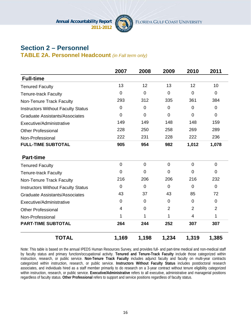

# **Section 2 – Personnel**

**TABLE 2A. Personnel Headcount** *(in Fall term only)*

|                                           | 2007           | 2008           | 2009           | 2010           | 2011           |
|-------------------------------------------|----------------|----------------|----------------|----------------|----------------|
| <b>Full-time</b>                          |                |                |                |                |                |
| <b>Tenured Faculty</b>                    | 13             | 12             | 13             | 12             | 10             |
| <b>Tenure-track Faculty</b>               | $\mathbf 0$    | $\mathbf 0$    | $\overline{0}$ | $\overline{0}$ | $\mathbf 0$    |
| Non-Tenure Track Faculty                  | 293            | 312            | 335            | 361            | 384            |
| <b>Instructors Without Faculty Status</b> | $\mathbf 0$    | $\overline{0}$ | $\overline{0}$ | $\Omega$       | $\mathbf 0$    |
| <b>Graduate Assistants/Associates</b>     | $\mathbf 0$    | $\mathbf 0$    | $\overline{0}$ | $\overline{0}$ | $\mathbf 0$    |
| Executive/Administrative                  | 149            | 149            | 148            | 148            | 159            |
| <b>Other Professional</b>                 | 228            | 250            | 258            | 269            | 289            |
| Non-Professional                          | 222            | 231            | 228            | 222            | 236            |
| <b>FULL-TIME SUBTOTAL</b>                 | 905            | 954            | 982            | 1,012          | 1,078          |
| <b>Part-time</b>                          |                |                |                |                |                |
| <b>Tenured Faculty</b>                    | $\overline{0}$ | $\overline{0}$ | $\overline{0}$ | $\overline{0}$ | $\overline{0}$ |
| <b>Tenure-track Faculty</b>               | 0              | 0              | $\Omega$       | $\Omega$       | $\Omega$       |
| Non-Tenure Track Faculty                  | 216            | 206            | 206            | 216            | 232            |
| <b>Instructors Without Faculty Status</b> | 0              | 0              | $\Omega$       | $\Omega$       | $\mathbf 0$    |
| <b>Graduate Assistants/Associates</b>     | 43             | 37             | 43             | 85             | 72             |
| Executive/Administrative                  | $\mathbf 0$    | $\mathbf 0$    | $\mathbf 0$    | $\overline{0}$ | $\mathbf 0$    |
| <b>Other Professional</b>                 | $\overline{4}$ | $\overline{0}$ | $\overline{2}$ | 2              | $\overline{2}$ |
| Non-Professional                          | 1              | 1              | 1              | 4              | 1              |
| <b>PART-TIME SUBTOTAL</b>                 | 264            | 244            | 252            | 307            | 307            |
| <b>TOTAL</b>                              | 1,169          | 1,198          | 1,234          | 1,319          | 1,385          |

Note: This table is based on the annual IPEDS Human Resources Survey, and provides full- and part-time medical and non-medical staff by faculty status and primary function/occupational activity. **Tenured and Tenure-Track Faculty** include those categorized within instruction, research, or public service. **Non-Tenure Track Faculty** includes adjunct faculty and faculty on multi-year contracts categorized within instruction, research, or public service. **Instructors Without Faculty Status** includes postdoctoral research associates, and individuals hired as a staff member primarily to do research on a 3-year contract without tenure eligibility categorized within instruction, research, or public service. **Executive/Administrative** refers to all executive, administrative and managerial positions regardless of faculty status. **Other Professional** refers to support and service positions regardless of faculty status.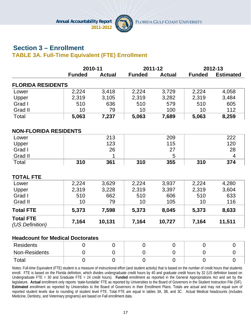

# **Section 3 – Enrollment TABLE 3A. Full-Time Equivalent (FTE) Enrollment**

|                                         | 2010-11       |               | 2011-12       |               |               | 2012-13          |  |
|-----------------------------------------|---------------|---------------|---------------|---------------|---------------|------------------|--|
|                                         | <b>Funded</b> | <b>Actual</b> | <b>Funded</b> | <b>Actual</b> | <b>Funded</b> | <b>Estimated</b> |  |
| <b>FLORIDA RESIDENTS</b>                |               |               |               |               |               |                  |  |
| Lower                                   | 2,224         | 3,418         | 2,224         | 3,729         | 2,224         | 4,058            |  |
| Upper                                   | 2,319         | 3,105         | 2,319         | 3,282         | 2,319         | 3,484            |  |
| Grad I                                  | 510           | 636           | 510           | 579           | 510           | 605              |  |
| Grad II                                 | 10            | 79            | 10            | 100           | 10            | 112              |  |
| Total                                   | 5,063         | 7,237         | 5,063         | 7,689         | 5,063         | 8,259            |  |
| <b>NON-FLORIDA RESIDENTS</b>            |               |               |               |               |               |                  |  |
| Lower                                   |               | 213           |               | 209           |               | 222              |  |
| Upper                                   |               | 123           |               | 115           |               | 120              |  |
| Grad I                                  |               | 26            |               | 27            |               | 28               |  |
| Grad II                                 |               | 1             |               | 5             |               | 4                |  |
| Total                                   | 310           | 361           | 310           | 355           | 310           | 374              |  |
| <b>TOTAL FTE</b>                        |               |               |               |               |               |                  |  |
| Lower                                   | 2,224         | 3,629         | 2,224         | 3,937         | 2,224         | 4,280            |  |
| Upper                                   | 2,319         | 3,228         | 2,319         | 3,397         | 2,319         | 3,604            |  |
| Grad I                                  | 510           | 662           | 510           | 606           | 510           | 633              |  |
| Grad II                                 | 10            | 79            | 10            | 105           | 10            | 116              |  |
| <b>Total FTE</b>                        | 5,373         | 7,598         | 5,373         | 8,045         | 5,373         | 8,633            |  |
| <b>Total FTE</b><br>(US Definition)     | 7,164         | 10,131        | 7,164         | 10,727        | 7,164         | 11,511           |  |
| <b>Headcount for Medical Doctorates</b> |               |               |               |               |               |                  |  |

| Residents     |  |  |  |
|---------------|--|--|--|
| Non-Residents |  |  |  |
| Total         |  |  |  |

Notes: Full-time Equivalent (FTE) student is a measure of instructional effort (and student activity) that is based on the number of credit hours that students enroll. FTE is based on the Florida definition, which divides undergraduate credit hours by 40 and graduate credit hours by 32 (US definition based on Undergraduate FTE = 30 and Graduate FTE = 24 credit hours). **Funded** enrollment as reported in the General Appropriations Act and set by the legislature. **Actual** enrollment only reports 'state-fundable' FTE as reported by Universities to the Board of Governors in the Student Instruction File (SIF). **Estimated** enrollment as reported by Universities to the Board of Governors in their Enrollment Plans. Totals are actual and may not equal sum of reported student levels due to rounding of student level FTE. Total FTE are equal in tables 3A, 3B, and 3C. Actual Medical headcounts (includes Medicine, Dentistry, and Veterinary programs) are based on Fall enrollment data.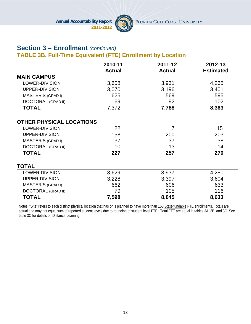

# **Section 3 – Enrollment** *(continued)*

# **TABLE 3B. Full-Time Equivalent (FTE) Enrollment by Location**

|                                 | 2010-11       | 2011-12        | 2012-13          |
|---------------------------------|---------------|----------------|------------------|
|                                 | <b>Actual</b> | <b>Actual</b>  | <b>Estimated</b> |
| <b>MAIN CAMPUS</b>              |               |                |                  |
| LOWER-DIVISION                  | 3,608         | 3,931          | 4,265            |
| UPPER-DIVISION                  | 3,070         | 3,196          | 3,401            |
| MASTER'S (GRAD I)               | 625           | 569            | 595              |
| <b>DOCTORAL (GRAD II)</b>       | 69            | 92             | 102              |
| <b>TOTAL</b>                    | 7,372         | 7,788          | 8,363            |
| <b>OTHER PHYSICAL LOCATIONS</b> |               |                |                  |
| <b>LOWER-DIVISION</b>           | 22            | $\overline{7}$ | 15               |
| UPPER-DIVISION                  | 158           | 200            | 203              |
| MASTER'S (GRAD I)               | 37            | 37             | 38               |
| <b>DOCTORAL (GRAD II)</b>       | 10            | 13             | 14               |
| <b>TOTAL</b>                    | 227           | 257            | 270              |
| <b>TOTAL</b>                    |               |                |                  |
| LOWER-DIVISION                  | 3,629         | 3,937          | 4,280            |
| UPPER-DIVISION                  | 3,228         | 3,397          | 3,604            |
| MASTER'S (GRAD I)               | 662           | 606            | 633              |
| <b>DOCTORAL (GRAD II)</b>       | 79            | 105            | 116              |
| <b>TOTAL</b>                    | 7,598         | 8,045          | 8,633            |

Notes: "Site" refers to each distinct physical location that has or is planned to have more than 150 State-fundable FTE enrollments. Totals are actual and may not equal sum of reported student levels due to rounding of student level FTE. Total FTE are equal in tables 3A, 3B, and 3C. See table 3C for details on Distance Learning.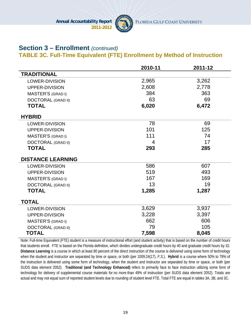

# **Section 3 – Enrollment** *(continued)*

#### **TABLE 3C. Full-Time Equivalent (FTE) Enrollment by Method of Instruction**

|                           | 2010-11        | 2011-12 |
|---------------------------|----------------|---------|
| <b>TRADITIONAL</b>        |                |         |
| LOWER-DIVISION            | 2,965          | 3,262   |
| UPPER-DIVISION            | 2,608          | 2,778   |
| MASTER'S (GRAD I)         | 384            | 363     |
| <b>DOCTORAL (GRAD II)</b> | 63             | 69      |
| <b>TOTAL</b>              | 6,020          | 6,472   |
| <b>HYBRID</b>             |                |         |
| <b>LOWER-DIVISION</b>     | 78             | 69      |
| UPPER-DIVISION            | 101            | 125     |
| <b>MASTER'S (GRAD I)</b>  | 111            | 74      |
| <b>DOCTORAL (GRAD II)</b> | $\overline{4}$ | 17      |
| <b>TOTAL</b>              | 293            | 285     |
| <b>DISTANCE LEARNING</b>  |                |         |
| <b>LOWER-DIVISION</b>     | 586            | 607     |
| UPPER-DIVISION            | 519            | 493     |
| MASTER'S (GRAD I)         | 167            | 169     |
| <b>DOCTORAL (GRAD II)</b> | 13             | 19      |
| <b>TOTAL</b>              | 1,285          | 1,287   |
| <b>TOTAL</b>              |                |         |
| <b>LOWER-DIVISION</b>     | 3,629          | 3,937   |
| UPPER-DIVISION            | 3,228          | 3,397   |
| <b>MASTER'S (GRAD I)</b>  | 662            | 606     |
| <b>DOCTORAL (GRAD II)</b> | 79             | 105     |
| <b>TOTAL</b>              | 7,598          | 8,045   |

Note: Full-time Equivalent (FTE) student is a measure of instructional effort (and student activity) that is based on the number of credit hours that students enroll. FTE is based on the Florida definition, which divides undergraduate credit hours by 40 and graduate credit hours by 32. **Distance Learning** is a course in which at least 80 percent of the direct instruction of the course is delivered using some form of technology when the student and instructor are separated by time or space, or both (per 1009.24(17), *F.S.*). **Hybrid** is a course where 50% to 79% of the instruction is delivered using some form of technology, when the student and instructor are separated by time or space, or both (per SUDS data element 2052). **Traditional (and Technology Enhanced)** refers to primarily face to face instruction utilizing some form of technology for delivery of supplemental course materials for *no more* than 49% of instruction (per SUDS data element 2052). Totals are actual and may not equal sum of reported student levels due to rounding of student level FTE. Total FTE are equal in tables 3A, 3B, and 3C.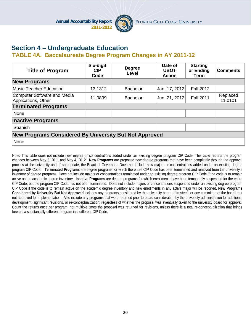

# **Section 4 – Undergraduate Education**

#### **TABLE 4A. Baccalaureate Degree Program Changes in AY 2011-12**

| <b>Title of Program</b>                                       | Six-digit<br><b>CIP</b><br>Code | <b>Degree</b><br>Level | Date of<br><b>UBOT</b><br><b>Action</b> | <b>Starting</b><br>or Ending<br>Term | <b>Comments</b>     |  |
|---------------------------------------------------------------|---------------------------------|------------------------|-----------------------------------------|--------------------------------------|---------------------|--|
| <b>New Programs</b>                                           |                                 |                        |                                         |                                      |                     |  |
| Music Teacher Education                                       | 13.1312                         | <b>Bachelor</b>        | Jan. 17, 2012                           | <b>Fall 2012</b>                     |                     |  |
| Computer Software and Media<br>Applications, Other            | 11.0899                         | <b>Bachelor</b>        | Jun. 21, 2012                           | <b>Fall 2011</b>                     | Replaced<br>11.0101 |  |
| <b>Terminated Programs</b>                                    |                                 |                        |                                         |                                      |                     |  |
| None                                                          |                                 |                        |                                         |                                      |                     |  |
| <b>Inactive Programs</b>                                      |                                 |                        |                                         |                                      |                     |  |
| Spanish                                                       |                                 |                        |                                         |                                      |                     |  |
| <b>New Programs Considered By University But Not Approved</b> |                                 |                        |                                         |                                      |                     |  |
| None                                                          |                                 |                        |                                         |                                      |                     |  |

Note: This table does not include new majors or concentrations added under an existing degree program CIP Code. This table reports the program changes between May 5, 2011 and May 4, 2012. **New Programs** are proposed new degree programs that have been completely through the approval process at the university and, if appropriate, the Board of Governors. Does not include new majors or concentrations added under an existing degree program CIP Code. **Terminated Programs** are degree programs for which the entire CIP Code has been terminated and removed from the university's inventory of degree programs. Does not include majors or concentrations terminated under an existing degree program CIP Code if the code is to remain active on the academic degree inventory. **Inactive Programs** are degree programs for which enrollments have been temporarily suspended for the entire CIP Code, but the program CIP Code has not been terminated. Does not include majors or concentrations suspended under an existing degree program CIP Code if the code is to remain active on the academic degree inventory and new enrollments in any active major will be reported. **New Programs Considered by University But Not Approved** includes any programs considered by the university board of trustees, or any committee of the board, but not approved for implementation. Also include any programs that were returned prior to board consideration by the university administration for additional development, significant revisions, or re-conceptualization; regardless of whether the proposal was eventually taken to the university board for approval. Count the returns once per program, not multiple times the proposal was returned for revisions, unless there is a total re-conceptualization that brings forward a substantially different program in a different CIP Code.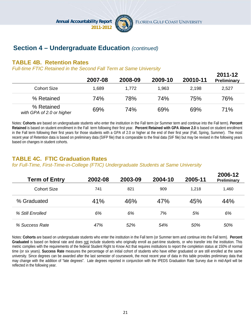

# **Section 4 – Undergraduate Education** *(continued)*

#### **TABLE 4B. Retention Rates**

*Full-time FTIC Retained in the Second Fall Term at Same University*

|                                         | 2007-08 | 2008-09 | 2009-10    | 20010-11 | 2011-12<br><b>Preliminary</b> |
|-----------------------------------------|---------|---------|------------|----------|-------------------------------|
| <b>Cohort Size</b>                      | 1.689   | 1,772   | 1,963      | 2,198    | 2,527                         |
| % Retained                              | 74%     | 78%     | <b>74%</b> | 75%      | 76%                           |
| % Retained<br>with GPA of 2.0 or higher | 69%     | 74%     | 69%        | 69%      | 71%                           |

Notes: **Cohorts** are based on undergraduate students who enter the institution in the Fall term (or Summer term and continue into the Fall term). **Percent Retained** is based on student enrollment in the Fall term following their first year. **Percent Retained with GPA Above 2.0** is based on student enrollment in the Fall term following their first years for those students with a GPA of 2.0 or higher at the end of their first year (Fall, Spring, Summer). The most recent year of Retention data is based on preliminary data (SIFP file) that is comparable to the final data (SIF file) but may be revised in the following years based on changes in student cohorts.

# **TABLE 4C. FTIC Graduation Rates**

*for Full-Time, First-Time-in-College (FTIC) Undergraduate Students at Same University* 

| <b>Term of Entry</b> | 2002-08 | 2003-09 | 2004-10 | 2005-11 | 2006-12<br>Preliminary |
|----------------------|---------|---------|---------|---------|------------------------|
| <b>Cohort Size</b>   | 741     | 821     | 909     | 1.218   | 1,460                  |
| % Graduated          | 41%     | 46%     | 47%     | 45%     | 44%                    |
| % Still Enrolled     | 6%      | 6%      | 7%      | 5%      | 6%                     |
| % Success Rate       | 47%     | 52%     | 54%     | 50%     | 50%                    |

Notes: **Cohorts** are based on undergraduate students who enter the institution in the Fall term (or Summer term and continue into the Fall term). **Percent Graduated** is based on federal rate and does not include students who originally enroll as part-time students, or who transfer into the institution. This metric complies with the requirements of the federal Student Right to Know Act that requires institutions to report the completion status at 150% of normal time (or six years). **Success Rate** measures the percentage of an initial cohort of students who have either graduated or are still enrolled at the same university. Since degrees can be awarded after the last semester of coursework, the most recent year of data in this table provides preliminary data that may change with the addition of "late degrees". Late degrees reported in conjunction with the IPEDS Graduation Rate Survey due in mid-April will be reflected in the following year.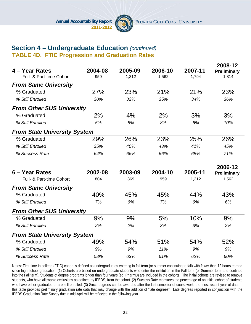

# **Section 4 – Undergraduate Education** *(continued)*

**TABLE 4D. FTIC Progression and Graduation Rates**

| 4 - Year Rates                      | 2004-08 | 2005-09 | 2006-10 | 2007-11 | 2008-12<br>Preliminary |
|-------------------------------------|---------|---------|---------|---------|------------------------|
| Full- & Part-time Cohort            | 959     | 1,312   | 1,562   | 1,794   | 1,814                  |
| <b>From Same University</b>         |         |         |         |         |                        |
| % Graduated                         | 27%     | 23%     | 21%     | 21%     | 23%                    |
| % Still Enrolled                    | 30%     | 32%     | 35%     | 34%     | 36%                    |
| <b>From Other SUS University</b>    |         |         |         |         |                        |
| % Graduated                         | 2%      | 4%      | 2%      | 3%      | 3%                     |
| % Still Enrolled                    | 5%      | 8%      | 8%      | 6%      | 10%                    |
| <b>From State University System</b> |         |         |         |         |                        |
| % Graduated                         | 29%     | 26%     | 23%     | 25%     | 26%                    |
| % Still Enrolled                    | 35%     | 40%     | 43%     | 41%     | 45%                    |
| % Success Rate                      | 64%     | 66%     | 66%     | 65%     | 71%                    |
| 6 - Year Rates                      | 2002-08 | 2003-09 | 2004-10 | 2005-11 | 2006-12<br>Preliminary |
| Full- & Part-time Cohort            | 804     | 869     | 959     | 1,312   | 1,562                  |
| <b>From Same University</b>         |         |         |         |         |                        |
| % Graduated                         | 40%     | 45%     | 45%     | 44%     | 43%                    |
| % Still Enrolled                    | 7%      | 6%      | 7%      | 6%      | 6%                     |
| <b>From Other SUS University</b>    |         |         |         |         |                        |
|                                     |         |         |         |         |                        |
| % Graduated                         | 9%      | 9%      | 5%      | 10%     | 9%                     |
| % Still Enrolled                    | 2%      | 2%      | 3%      | 3%      | 2%                     |
| <b>From State University System</b> |         |         |         |         |                        |
| % Graduated                         | 49%     | 54%     | 51%     | 54%     | 52%                    |
| % Still Enrolled                    | 9%      | 9%      | 11%     | 9%      | 9%                     |

Notes: First-time-in-college (FTIC) cohort is defined as undergraduates entering in fall term (or summer continuing to fall) with fewer than 12 hours earned since high school graduation. (1) Cohorts are based on undergraduate students who enter the institution in the Fall term (or Summer term and continue into the Fall term). Students of degree programs longer than four years (eg, PharmD) are included in the cohorts. The initial cohorts are revised to remove students, who have allowable exclusions as defined by IPEDS, from the cohort. (2) Success Rate measures the percentage of an initial cohort of students who have either graduated or are still enrolled. (3) Since degrees can be awarded after the last semester of coursework, the most recent year of data in this table provides preliminary graduation rate data that may change with the addition of "late degrees". Late degrees reported in conjunction with the IPEDS Graduation Rate Survey due in mid-April will be reflected in the following year.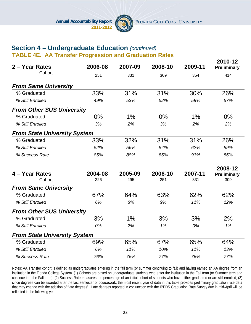

**2010-12** 

# **Section 4 – Undergraduate Education** *(continued)*

**TABLE 4E. AA Transfer Progression and Graduation Rates**

| 2 - Year Rates                      | 2006-08 | 2007-09 | 2008-10 | 2009-11 | ZU I U- I Z<br>Preliminary |
|-------------------------------------|---------|---------|---------|---------|----------------------------|
| Cohort                              | 251     | 331     | 309     | 354     | 414                        |
| <b>From Same University</b>         |         |         |         |         |                            |
| % Graduated                         | 33%     | 31%     | 31%     | 30%     | 26%                        |
| % Still Enrolled                    | 49%     | 53%     | 52%     | 59%     | 57%                        |
| <b>From Other SUS University</b>    |         |         |         |         |                            |
| % Graduated                         | $0\%$   | 1%      | $0\%$   | 1%      | 0%                         |
| % Still Enrolled                    | 3%      | 2%      | 3%      | 2%      | 2%                         |
| <b>From State University System</b> |         |         |         |         |                            |
| % Graduated                         | 33%     | 32%     | 31%     | 31%     | 26%                        |
| % Still Enrolled                    | 52%     | 56%     | 54%     | 62%     | 59%                        |
| % Success Rate                      | 85%     | 88%     | 86%     | 93%     | 86%                        |
|                                     |         |         |         |         | 2008-12                    |
| 4 - Year Rates                      | 2004-08 | 2005-09 | 2006-10 | 2007-11 | Preliminary                |
| Cohort                              | 226     | 295     | 251     | 331     | 309                        |
| <b>From Same University</b>         |         |         |         |         |                            |
| % Graduated                         | 67%     | 64%     | 63%     | 62%     | 62%                        |
| % Still Enrolled                    | 6%      | 8%      | 9%      | 11%     | 12%                        |
| <b>From Other SUS University</b>    |         |         |         |         |                            |
| % Graduated                         | 3%      | 1%      | 3%      | 3%      | 2%                         |
| % Still Enrolled                    | 0%      | 2%      | 1%      | 0%      | 1%                         |
| <b>From State University System</b> |         |         |         |         |                            |
| % Graduated                         | 69%     | 65%     | 67%     | 65%     | 64%                        |
| % Still Enrolled                    | 6%      | 11%     | 10%     | 11%     | 13%                        |
| % Success Rate                      | 76%     | 76%     | 77%     | 76%     | 77%                        |

Notes: AA Transfer cohort is defined as undergraduates entering in the fall term (or summer continuing to fall) and having earned an AA degree from an institution in the Florida College System. (1) Cohorts are based on undergraduate students who enter the institution in the Fall term (or Summer term and continue into the Fall term); (2) Success Rate measures the percentage of an initial cohort of students who have either graduated or are still enrolled; (3) since degrees can be awarded after the last semester of coursework, the most recent year of data in this table provides preliminary graduation rate data that may change with the addition of "late degrees". Late degrees reported in conjunction with the IPEDS Graduation Rate Survey due in mid-April will be reflected in the following year.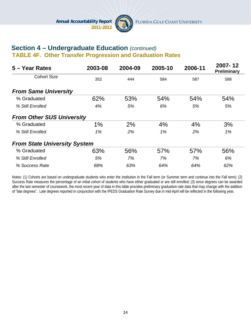

#### **Section 4 – Undergraduate Education** *(continued)*  **TABLE 4F. Other Transfer Progression and Graduation Rates**

| 5 – Year Rates                      | 2003-08 | 2004-09 | 2005-10 | 2006-11 | 2007-12<br><b>Preliminary</b> |
|-------------------------------------|---------|---------|---------|---------|-------------------------------|
| <b>Cohort Size</b>                  | 352     | 444     | 584     | 587     | 588                           |
| <b>From Same University</b>         |         |         |         |         |                               |
| % Graduated                         | 62%     | 53%     | 54%     | 54%     | 54%                           |
| % Still Enrolled                    | 4%      | 5%      | 6%      | 5%      | 5%                            |
| <b>From Other SUS University</b>    |         |         |         |         |                               |
| % Graduated                         | 1%      | 2%      | 4%      | 4%      | 3%                            |
| % Still Enrolled                    | 1%      | 2%      | 1%      | 2%      | 1%                            |
| <b>From State University System</b> |         |         |         |         |                               |
| % Graduated                         | 63%     | 56%     | 57%     | 57%     | 56%                           |
| % Still Enrolled                    | 5%      | 7%      | 7%      | 7%      | 6%                            |
| % Success Rate                      | 68%     | 63%     | 64%     | 64%     | 62%                           |

Notes: (1) Cohorts are based on undergraduate students who enter the institution in the Fall term (or Summer term and continue into the Fall term); (2) Success Rate measures the percentage of an initial cohort of students who have either graduated or are still enrolled; (3) since degrees can be awarded after the last semester of coursework, the most recent year of data in this table provides preliminary graduation rate data that may change with the addition of "late degrees". Late degrees reported in conjunction with the IPEDS Graduation Rate Survey due in mid-April will be reflected in the following year.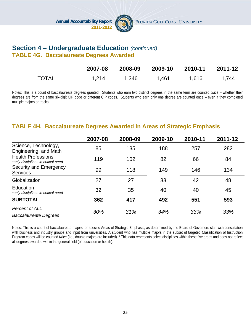

## **Section 4 – Undergraduate Education** *(continued)* **TABLE 4G. Baccalaureate Degrees Awarded**

|              | 2007-08 | 2008-09 | 2009-10 | 2010-11 | 2011-12 |
|--------------|---------|---------|---------|---------|---------|
| <b>TOTAL</b> | 1,214   | 1,346   | 1,461   | 1,616   | 1,744   |

Notes: This is a count of baccalaureate degrees granted. Students who earn two distinct degrees in the same term are counted twice – whether their degrees are from the same six-digit CIP code or different CIP codes. Students who earn only one degree are counted once – even if they completed multiple majors or tracks.

#### **TABLE 4H. Baccalaureate Degrees Awarded in Areas of Strategic Emphasis**

|                                                                 | 2007-08 | 2008-09 | 2009-10 | 2010-11 | 2011-12 |
|-----------------------------------------------------------------|---------|---------|---------|---------|---------|
| Science, Technology,<br>Engineering, and Math                   | 85      | 135     | 188     | 257     | 282     |
| <b>Health Professions</b><br>*only disciplines in critical need | 119     | 102     | 82      | 66      | 84      |
| Security and Emergency<br><b>Services</b>                       | 99      | 118     | 149     | 146     | 134     |
| Globalization                                                   | 27      | 27      | 33      | 42      | 48      |
| <b>Education</b><br>*only disciplines in critical need          | 32      | 35      | 40      | 40      | 45      |
| <b>SUBTOTAL</b>                                                 | 362     | 417     | 492     | 551     | 593     |
| Percent of ALL<br><b>Baccalaureate Degrees</b>                  | 30%     | 31%     | 34%     | 33%     | 33%     |

Notes: This is a count of baccalaureate majors for specific Areas of Strategic Emphasis, as determined by the Board of Governors staff with consultation with business and industry groups and input from universities. A student who has multiple majors in the subset of targeted Classification of Instruction Program codes will be counted twice (i.e., double-majors are included). \* This data represents select disciplines within these five areas and does not reflect all degrees awarded within the general field (of education or health).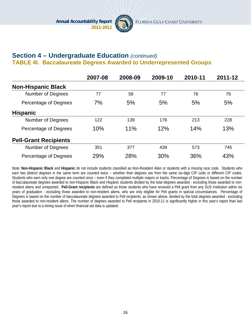

# **Section 4 – Undergraduate Education** *(continued)* **TABLE 4I. Baccalaureate Degrees Awarded to Underrepresented Groups**

|                              | 2007-08 | 2008-09 | 2009-10 | 2010-11 | 2011-12 |
|------------------------------|---------|---------|---------|---------|---------|
| <b>Non-Hispanic Black</b>    |         |         |         |         |         |
| <b>Number of Degrees</b>     | 77      | 58      | 77      | 76      | 79      |
| Percentage of Degrees        | 7%      | 5%      | 5%      | 5%      | 5%      |
| <b>Hispanic</b>              |         |         |         |         |         |
| Number of Degrees            | 122     | 139     | 176     | 213     | 228     |
| Percentage of Degrees        | 10%     | 11%     | 12%     | 14%     | 13%     |
| <b>Pell-Grant Recipients</b> |         |         |         |         |         |
| <b>Number of Degrees</b>     | 351     | 377     | 439     | 573     | 745     |
| Percentage of Degrees        | 29%     | 28%     | 30%     | 36%     | 43%     |

Note: **Non-Hispanic Black** and **Hispanic** do not include students classified as Non-Resident Alien or students with a missing race code. Students who earn two distinct degrees in the same term are counted twice – whether their degrees are from the same six-digit CIP code or different CIP codes. Students who earn only one degree are counted once – even if they completed multiple majors or tracks. Percentage of Degrees is based on the number of baccalaureate degrees awarded to non-Hispanic Black and Hispanic students divided by the total degrees awarded - excluding those awarded to nonresident aliens and unreported. **Pell-Grant recipients** are defined as those students who have received a Pell grant from any SUS Institution within six years of graduation - excluding those awarded to non-resident aliens, who are only eligible for Pell grants in special circumstances. Percentage of Degrees is based on the number of baccalaureate degrees awarded to Pell recipients, as shown above, divided by the total degrees awarded - excluding those awarded to non-resident aliens. The number of degrees awarded to Pell recipients in 2010-11 is significantly higher in this year's report than last year's report due to a timing issue of when financial aid data is updated.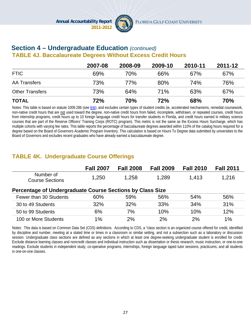

#### **Section 4 – Undergraduate Education** *(continued)*  **TABLE 4J. Baccalaureate Degrees Without Excess Credit Hours**

|                        | 2007-08 | 2008-09 | 2009-10    | 2010-11    | 2011-12 |
|------------------------|---------|---------|------------|------------|---------|
| <b>FTIC</b>            | 69%     | 70%     | 66%        | 67%        | 67%     |
| AA Transfers           | 73%     | 77%     | 80%        | <b>74%</b> | 76%     |
| <b>Other Transfers</b> | 73%     | 64%     | <b>71%</b> | 63%        | 67%     |
| <b>TOTAL</b>           | 72%     | 70%     | 72%        | <b>68%</b> | 70%     |

Notes: This table is based on statute 1009.286 (see link), and excludes certain types of student credits (ie, accelerated mechanisms, remedial coursework, non-native credit hours that are not used toward the degree, non-native credit hours from failed, incomplete, withdrawn, or repeated courses, credit hours from internship programs, credit hours up to 10 foreign language credit hours for transfer students in Florida, and credit hours earned in military science courses that are part of the Reserve Officers' Training Corps (ROTC) program). This metric is not the same as the Excess Hours Surcharge, which has multiple cohorts with varying fee rates. This table reports the percentage of baccalaureate degrees awarded within 110% of the catalog hours required for a degree based on the Board of Governors Academic Program Inventory. This calculation is based on Hours To Degree data submitted by universities to the Board of Governors and excludes recent graduates who have already earned a baccalaureate degree.

# **TABLE 4K. Undergraduate Course Offerings**

|                                                           | <b>Fall 2007</b> | <b>Fall 2008</b> | <b>Fall 2009</b> | <b>Fall 2010</b> | <b>Fall 2011</b> |  |  |  |
|-----------------------------------------------------------|------------------|------------------|------------------|------------------|------------------|--|--|--|
| Number of<br><b>Course Sections</b>                       | 1,250            | 1.258            | 1,289            | 1,413            | 1,216            |  |  |  |
| Percentage of Undergraduate Course Sections by Class Size |                  |                  |                  |                  |                  |  |  |  |
| Fewer than 30 Students                                    | 60%              | 59%              | 56%              | 54%              | 56%              |  |  |  |
| 30 to 49 Students                                         | 32%              | 32%              | 33%              | 34%              | 31%              |  |  |  |
| 50 to 99 Students                                         | 6%               | 7%               | 10%              | 10%              | 12%              |  |  |  |
| 100 or More Students                                      | 1%               | 2%               | 2%               | 2%               | 1%               |  |  |  |

Notes: This data is based on Common Data Set (CDS) definitions. According to CDS, a "class section is an organized course offered for credit, identified by discipline and number, meeting at a stated time or times in a classroom or similar setting, and not a subsection such as a laboratory or discussion session. Undergraduate class sections are defined as any sections in which at least one degree-seeking undergraduate student is enrolled for credit. Exclude distance learning classes and noncredit classes and individual instruction such as dissertation or thesis research, music instruction, or one-to-one readings. Exclude students in independent study, co-operative programs, internships, foreign language taped tutor sessions, practicums, and all students in one-on-one classes.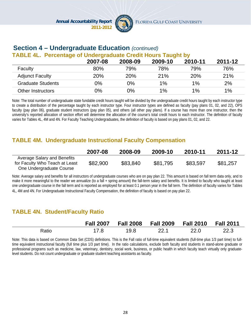

# **Section 4 – Undergraduate Education** *(continued)*

#### **TABLE 4L. Percentage of Undergraduate Credit Hours Taught by**

|                          | 2007-08 | 2008-09    | 2009-10 | 2010-11    | 2011-12 |
|--------------------------|---------|------------|---------|------------|---------|
| Faculty                  | 80%     | 79%        | 78%     | 79%        | 76%     |
| <b>Adjunct Faculty</b>   | 20%     | <b>20%</b> | 21%     | <b>20%</b> | 21%     |
| <b>Graduate Students</b> | 0%      | 0%         | $1\%$   | 1%         | 2%      |
| <b>Other Instructors</b> | 0%      | 0%         | 1%      | $1\%$      | $1\%$   |

Note: The total number of undergraduate state fundable credit hours taught will be divided by the undergraduate credit hours taught by each instructor type to create a distribution of the percentage taught by each instructor type. Four instructor types are defined as faculty (pay plans 01, 02, and 22), OPS faculty (pay plan 06), graduate student instructors (pay plan 05), and others (all other pay plans). If a course has more than one instructor, then the university's reported allocation of section effort will determine the allocation of the course's total credit hours to each instructor. The definition of faculty varies for Tables 4L, 4M and 4N. For Faculty Teaching Undergraduates, the definition of faculty is based on pay plans 01, 02, and 22.

# **TABLE 4M. Undergraduate Instructional Faculty Compensation**

|                                                                                           | 2007-08  | 2008-09  | 2009-10  | 2010-11  | 2011-12  |
|-------------------------------------------------------------------------------------------|----------|----------|----------|----------|----------|
| Average Salary and Benefits<br>for Faculty Who Teach at Least<br>One Undergraduate Course | \$82,900 | \$83,840 | \$81,795 | \$83,597 | \$81,257 |

Note: Average salary and benefits for all instructors of undergraduate courses who are on pay plan 22. This amount is based on fall term data only, and to make it more meaningful to the reader we annualize (to a fall + spring amount) the fall-term salary and benefits. It is limited to faculty who taught at least one undergraduate course in the fall term and is reported as employed for at least 0.1 person year in the fall term. The definition of faculty varies for Tables 4L, 4M and 4N. For Undergraduate Instructional Faculty Compensation, the definition of faculty is based on pay plan 22.

# **TABLE 4N. Student/Faculty Ratio**

|       | <b>Fall 2007</b> | <b>Fall 2008</b> | <b>Fall 2009</b> | <b>Fall 2010 Fall 2011</b> |      |
|-------|------------------|------------------|------------------|----------------------------|------|
| Ratio |                  | 19.8             | 22.1             | 22.0                       | 22.3 |

Note: This data is based on Common Data Set (CDS) definitions. This is the Fall ratio of full-time equivalent students (full-time plus 1/3 part time) to fulltime equivalent instructional faculty (full time plus 1/3 part time). In the ratio calculations, exclude both faculty and students in stand-alone graduate or professional programs such as medicine, law, veterinary, dentistry, social work, business, or public health in which faculty teach virtually only graduatelevel students. Do not count undergraduate or graduate student teaching assistants as faculty.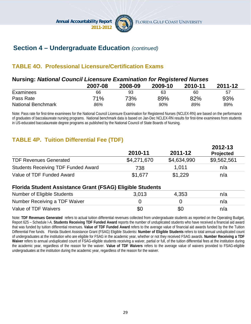

**2012-13**

# **Section 4 – Undergraduate Education** *(continued)*

# **TABLE 4O. Professional Licensure/Certification Exams**

## **Nursing:** *National Council Licensure Examination for Registered Nurses*

|                           | 2007-08 | 2008-09 | 2009-10 | 2010-11 | 2011-12 |
|---------------------------|---------|---------|---------|---------|---------|
| Examinees                 | 66      | 93      | 63      | 60      | 57      |
| Pass Rate                 | 71%     | 73%     | 89%     | 82%     | 93%     |
| <b>National Benchmark</b> | 86%     | 88%     | 90%     | 89%     | 89%     |

Note: Pass rate for first-time examinees for the National Council Licensure Examination for Registered Nurses (NCLEX-RN) are based on the performance of graduates of baccalaureate nursing programs. National benchmark data is based on Jan-Dec NCLEX-RN results for first-time examinees from students in US-educated baccalaureate degree programs as published by the National Council of State Boards of Nursing.

# **TABLE 4P. Tuition Differential Fee (TDF)**

|                                            | 2010-11     | 2011-12     | 2012-13<br><b>Projected</b> |
|--------------------------------------------|-------------|-------------|-----------------------------|
| <b>TDF Revenues Generated</b>              | \$4,271,670 | \$4,634,990 | \$9,562,561                 |
| <b>Students Receiving TDF Funded Award</b> | 738         | 1.011       | n/a                         |
| Value of TDF Funded Award                  | \$1,677     | \$1,229     | n/a                         |

#### **Florida Student Assistance Grant (FSAG) Eligible Students**

| Number of Eligible Students   | 3.013 | 4.353 | n/a |
|-------------------------------|-------|-------|-----|
| Number Receiving a TDF Waiver |       |       | n/a |
| Value of TDF Waivers          | \$0   | \$0   | n/a |

Note: **TDF Revenues Generated** refers to actual tuition differential revenues collected from undergraduate students as reported on the Operating Budget, Report 625 – Schedule I-A. **Students Receiving TDF Funded Award** reports the number of unduplicated students who have received a financial aid award that was funded by tuition differential revenues. **Value of TDF Funded Award** refers to the average value of financial aid awards funded by the the Tuition Differential Fee funds. Florida Student Assistance Grant (FSAG) Eligible Students**: Number of Eligible Students** refers to total annual unduplicated count of undergraduates at the institution who are eligible for FSAG in the academic year, whether or not they received FSAG awards. **Number Receiving a TDF** Waiver refers to annual unduplicated count of FSAG-eligible students receiving a waiver, partial or full, of the tuition differential fees at the institution during the academic year, regardless of the reason for the waiver. **Value of TDF Waivers** refers to the average value of waivers provided to FSAG-eligible undergraduates at the institution during the academic year, regardless of the reason for the waiver.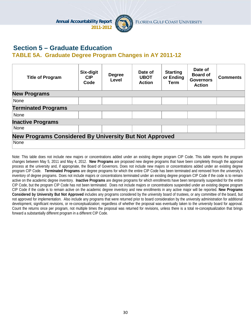

# **Section 5 – Graduate Education**

#### **TABLE 5A. Graduate Degree Program Changes in AY 2011-12**

| <b>Title of Program</b>                                | Six-digit<br><b>CIP</b><br>Code | <b>Degree</b><br>Level | Date of<br><b>UBOT</b><br><b>Action</b> | <b>Starting</b><br>or Ending<br>Term | Date of<br><b>Board of</b><br><b>Governors</b><br><b>Action</b> | <b>Comments</b> |  |
|--------------------------------------------------------|---------------------------------|------------------------|-----------------------------------------|--------------------------------------|-----------------------------------------------------------------|-----------------|--|
| <b>New Programs</b>                                    |                                 |                        |                                         |                                      |                                                                 |                 |  |
| None                                                   |                                 |                        |                                         |                                      |                                                                 |                 |  |
| <b>Terminated Programs</b>                             |                                 |                        |                                         |                                      |                                                                 |                 |  |
| None                                                   |                                 |                        |                                         |                                      |                                                                 |                 |  |
| <b>Inactive Programs</b>                               |                                 |                        |                                         |                                      |                                                                 |                 |  |
| None                                                   |                                 |                        |                                         |                                      |                                                                 |                 |  |
| New Programs Considered By University But Not Approved |                                 |                        |                                         |                                      |                                                                 |                 |  |
| None                                                   |                                 |                        |                                         |                                      |                                                                 |                 |  |

Note: This table does not include new majors or concentrations added under an existing degree program CIP Code. This table reports the program changes between May 5, 2011 and May 4, 2012. **New Programs** are proposed new degree programs that have been completely through the approval process at the university and, if appropriate, the Board of Governors. Does not include new majors or concentrations added under an existing degree program CIP Code. **Terminated Programs** are degree programs for which the entire CIP Code has been terminated and removed from the university's inventory of degree programs. Does not include majors or concentrations terminated under an existing degree program CIP Code if the code is to remain active on the academic degree inventory. **Inactive Programs** are degree programs for which enrollments have been temporarily suspended for the entire CIP Code, but the program CIP Code has not been terminated. Does not include majors or concentrations suspended under an existing degree program CIP Code if the code is to remain active on the academic degree inventory and new enrollments in any active major will be reported. **New Programs Considered by University But Not Approved** includes any programs considered by the university board of trustees, or any committee of the board, but not approved for implementation. Also include any programs that were returned prior to board consideration by the university administration for additional development, significant revisions, or re-conceptualization; regardless of whether the proposal was eventually taken to the university board for approval. Count the returns once per program, not multiple times the proposal was returned for revisions, unless there is a total re-conceptualization that brings forward a substantially different program in a different CIP Code.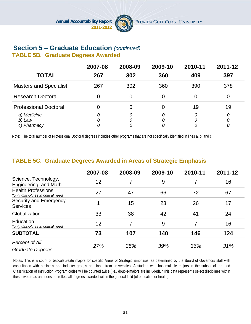

## **Section 5 – Graduate Education** *(continued)*  **TABLE 5B. Graduate Degrees Awarded**

|                                      | 2007-08 | 2008-09     | 2009-10            | 2010-11 | 2011-12 |
|--------------------------------------|---------|-------------|--------------------|---------|---------|
| <b>TOTAL</b>                         | 267     | 302         | 360                | 409     | 397     |
| <b>Masters and Specialist</b>        | 267     | 302         | 360                | 390     | 378     |
| <b>Research Doctoral</b>             |         |             |                    |         |         |
| <b>Professional Doctoral</b>         |         |             |                    | 19      | 19      |
| a) Medicine<br>b) Law<br>c) Pharmacy | 0       | 0<br>0<br>0 | $\Omega$<br>0<br>0 |         | 0       |

Note: The total number of Professional Doctoral degrees includes other programs that are not specifically identified in lines a, b, and c.

# **TABLE 5C. Graduate Degrees Awarded in Areas of Strategic Emphasis**

|                                                                 | 2007-08 | 2008-09 | 2009-10 | 2010-11 | 2011-12 |
|-----------------------------------------------------------------|---------|---------|---------|---------|---------|
| Science, Technology,<br>Engineering, and Math                   | 12      | 7       | 9       |         | 16      |
| <b>Health Professions</b><br>*only disciplines in critical need | 27      | 47      | 66      | 72      | 67      |
| Security and Emergency<br><b>Services</b>                       | 1       | 15      | 23      | 26      | 17      |
| Globalization                                                   | 33      | 38      | 42      | 41      | 24      |
| Education<br>*only disciplines in critical need                 | 12      | 7       | 9       | 7       | 16      |
| <b>SUBTOTAL</b>                                                 | 73      | 107     | 140     | 146     | 124     |
| Percent of All<br><b>Graduate Degrees</b>                       | 27%     | 35%     | 39%     | 36%     | 31%     |

Notes: This is a count of baccalaureate majors for specific Areas of Strategic Emphasis, as determined by the Board of Governors staff with consultation with business and industry groups and input from universities. A student who has multiple majors in the subset of targeted Classification of Instruction Program codes will be counted twice (i.e., double-majors are included). \*This data represents select disciplines within these five areas and does not reflect all degrees awarded within the general field (of education or health).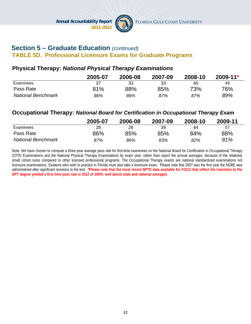

# **Section 5 – Graduate Education** *(continued)*  **TABLE 5D. Professional Licensure Exams for Graduate Programs**

## **Physical Therapy:** *National Physical Therapy Examinations*

|                           | 2005-07 | 2006-08 | 2007-09 | 2008-10 | $2009 - 11*$ |
|---------------------------|---------|---------|---------|---------|--------------|
| Examinees                 | 37      | 33      | 33      | 40      | 49           |
| Pass Rate                 | 81%     | 88%     | 85%     | 73%     | 76%          |
| <b>National Benchmark</b> | 86%     | 86%     | 87%     | 87%     | 89%          |

#### **Occupational Therapy:** *National Board for Certification in Occupational Therapy Exam*

|                           | 2005-07 | 2006-08 | 2007-09 | 2008-10 | 2009-11 |
|---------------------------|---------|---------|---------|---------|---------|
| Examinees                 | 28      | 26      | 39      | 44      | 57      |
| Pass Rate                 | 86%     | 85%     | 85%     | 84%     | 88%     |
| <b>National Benchmark</b> | 87%     | 86%     | 83%     | 82%     | 81%     |

Note: We have chosen to compute a three-year average pass rate for first-time examinees on the National Board for Certification in Occupational Therapy (OTR) Examinations and the National Physical Therapy Examinations by exam year, rather than report the annual averages, because of the relatively small cohort sizes compared to other licensed professional programs. The Occupational Therapy exams are national standardized examinations not licensure examinations. Students who wish to practice in Florida must also take a licensure exam. Please note that 2007 was the first year the NDBE was administered after significant revisions to the test. **\*Please note that the most recent NPTE data available for FGCU that reflect the transition to the DPT degree yielded a first time pass rate in 2012 of 100%: well above state and national averages.**